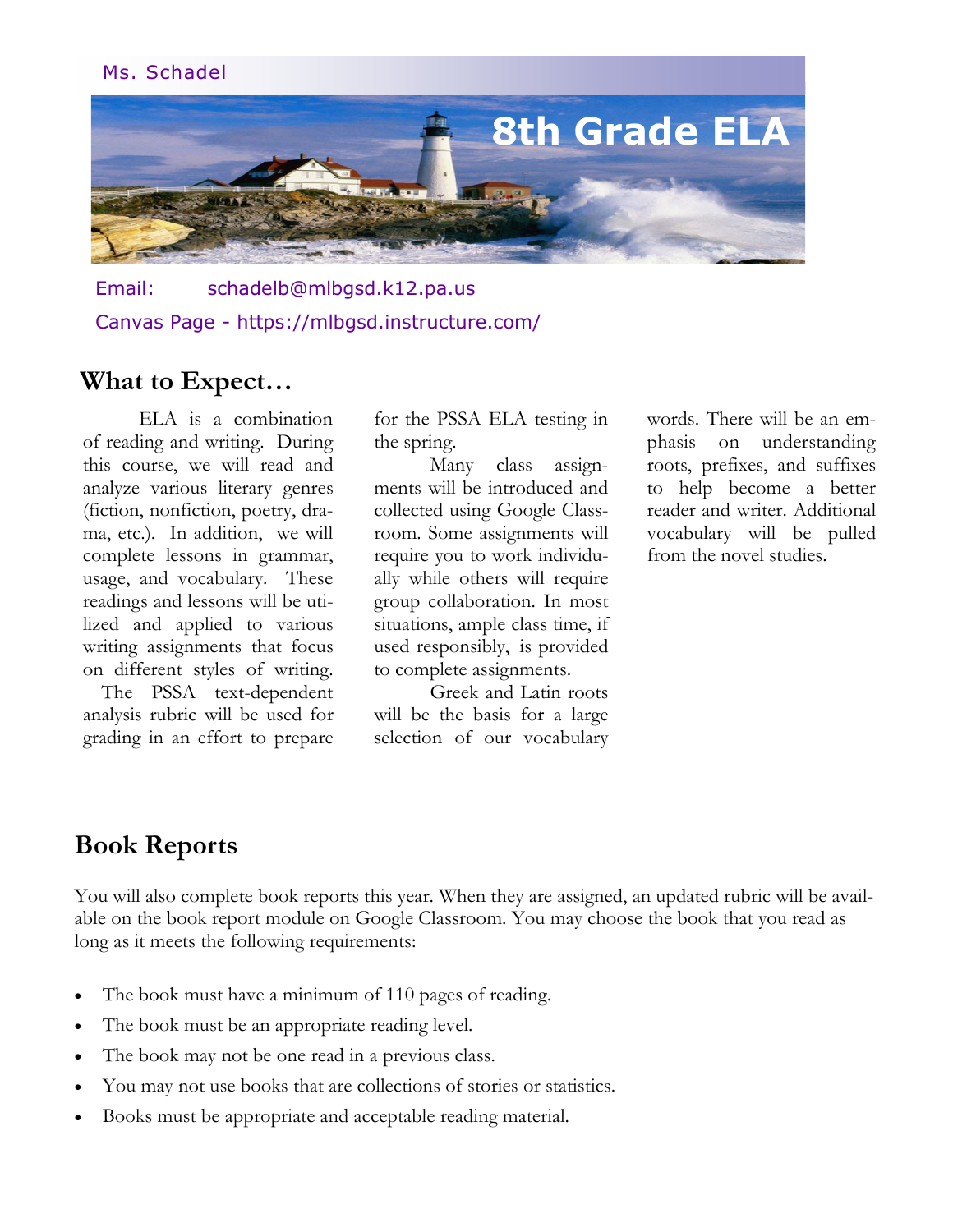#### Ms. Schadel



Email: schadelb@mlbgsd.k12.pa.us Canvas Page - https://mlbgsd.instructure.com/

#### **What to Expect…**

ELA is a combination of reading and writing. During this course, we will read and analyze various literary genres (fiction, nonfiction, poetry, drama, etc.). In addition, we will complete lessons in grammar, usage, and vocabulary. These readings and lessons will be utilized and applied to various writing assignments that focus on different styles of writing.

The PSSA text-dependent analysis rubric will be used for grading in an effort to prepare for the PSSA ELA testing in the spring.

Many class assignments will be introduced and collected using Google Classroom. Some assignments will require you to work individually while others will require group collaboration. In most situations, ample class time, if used responsibly, is provided to complete assignments.

Greek and Latin roots will be the basis for a large selection of our vocabulary

words. There will be an emphasis on understanding roots, prefixes, and suffixes to help become a better reader and writer. Additional vocabulary will be pulled from the novel studies.

#### **Book Reports**

You will also complete book reports this year. When they are assigned, an updated rubric will be available on the book report module on Google Classroom. You may choose the book that you read as long as it meets the following requirements:

- The book must have a minimum of 110 pages of reading.
- The book must be an appropriate reading level.
- The book may not be one read in a previous class.
- You may not use books that are collections of stories or statistics.
- Books must be appropriate and acceptable reading material.